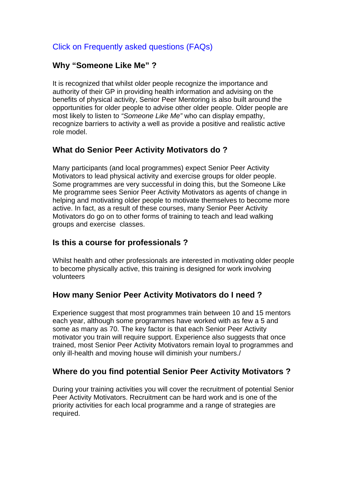## Click on Frequently asked questions (FAQs)

## **Why "Someone Like Me" ?**

It is recognized that whilst older people recognize the importance and authority of their GP in providing health information and advising on the benefits of physical activity, Senior Peer Mentoring is also built around the opportunities for older people to advise other older people. Older people are most likely to listen to *"Someone Like Me"* who can display empathy, recognize barriers to activity a well as provide a positive and realistic active role model.

## **What do Senior Peer Activity Motivators do ?**

Many participants (and local programmes) expect Senior Peer Activity Motivators to lead physical activity and exercise groups for older people. Some programmes are very successful in doing this, but the Someone Like Me programme sees Senior Peer Activity Motivators as agents of change in helping and motivating older people to motivate themselves to become more active. In fact, as a result of these courses, many Senior Peer Activity Motivators do go on to other forms of training to teach and lead walking groups and exercise classes.

## **Is this a course for professionals ?**

Whilst health and other professionals are interested in motivating older people to become physically active, this training is designed for work involving volunteers

## **How many Senior Peer Activity Motivators do I need ?**

Experience suggest that most programmes train between 10 and 15 mentors each year, although some programmes have worked with as few a 5 and some as many as 70. The key factor is that each Senior Peer Activity motivator you train will require support. Experience also suggests that once trained, most Senior Peer Activity Motivators remain loyal to programmes and only ill-health and moving house will diminish your numbers./

## **Where do you find potential Senior Peer Activity Motivators ?**

During your training activities you will cover the recruitment of potential Senior Peer Activity Motivators. Recruitment can be hard work and is one of the priority activities for each local programme and a range of strategies are required.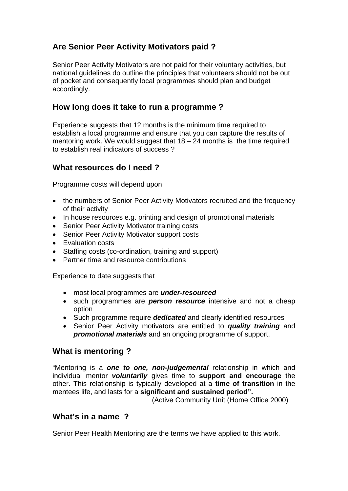# **Are Senior Peer Activity Motivators paid ?**

Senior Peer Activity Motivators are not paid for their voluntary activities, but national guidelines do outline the principles that volunteers should not be out of pocket and consequently local programmes should plan and budget accordingly.

### **How long does it take to run a programme ?**

Experience suggests that 12 months is the minimum time required to establish a local programme and ensure that you can capture the results of mentoring work. We would suggest that  $18 - 24$  months is the time required to establish real indicators of success ?

### **What resources do I need ?**

Programme costs will depend upon

- the numbers of Senior Peer Activity Motivators recruited and the frequency of their activity
- In house resources e.g. printing and design of promotional materials
- Senior Peer Activity Motivator training costs
- Senior Peer Activity Motivator support costs
- Evaluation costs
- Staffing costs (co-ordination, training and support)
- Partner time and resource contributions

Experience to date suggests that

- most local programmes are *under-resourced*
- such programmes are *person resource* intensive and not a cheap option
- Such programme require *dedicated* and clearly identified resources
- Senior Peer Activity motivators are entitled to *quality training* and *promotional materials* and an ongoing programme of support.

### **What is mentoring ?**

"Mentoring is a *one to one, non-judgemental* relationship in which and individual mentor *voluntarily* gives time to **support and encourage** the other. This relationship is typically developed at a **time of transition** in the mentees life, and lasts for a **significant and sustained period".** (Active Community Unit (Home Office 2000)

## **What's in a name ?**

Senior Peer Health Mentoring are the terms we have applied to this work.